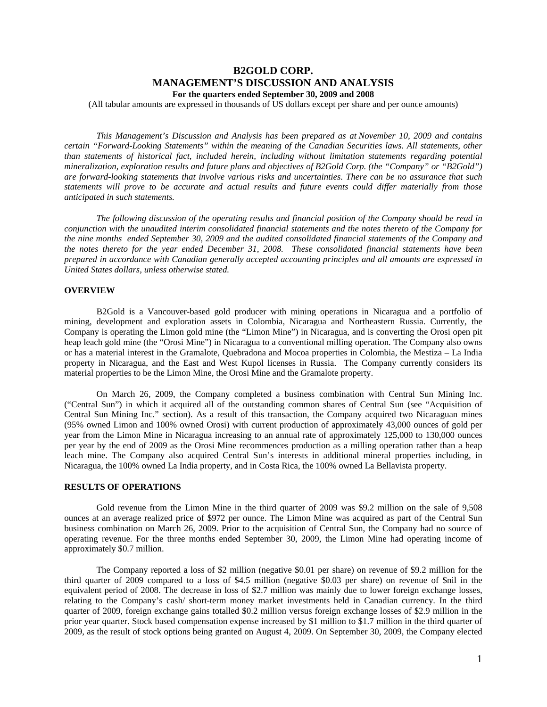# **B2GOLD CORP. MANAGEMENT'S DISCUSSION AND ANALYSIS For the quarters ended September 30, 2009 and 2008**

(All tabular amounts are expressed in thousands of US dollars except per share and per ounce amounts)

*This Management's Discussion and Analysis has been prepared as at November 10, 2009 and contains certain "Forward-Looking Statements" within the meaning of the Canadian Securities laws. All statements, other than statements of historical fact, included herein, including without limitation statements regarding potential mineralization, exploration results and future plans and objectives of B2Gold Corp. (the "Company" or "B2Gold") are forward-looking statements that involve various risks and uncertainties. There can be no assurance that such statements will prove to be accurate and actual results and future events could differ materially from those anticipated in such statements.* 

*The following discussion of the operating results and financial position of the Company should be read in conjunction with the unaudited interim consolidated financial statements and the notes thereto of the Company for the nine months ended September 30, 2009 and the audited consolidated financial statements of the Company and the notes thereto for the year ended December 31, 2008. These consolidated financial statements have been prepared in accordance with Canadian generally accepted accounting principles and all amounts are expressed in United States dollars, unless otherwise stated.* 

#### **OVERVIEW**

B2Gold is a Vancouver-based gold producer with mining operations in Nicaragua and a portfolio of mining, development and exploration assets in Colombia, Nicaragua and Northeastern Russia. Currently, the Company is operating the Limon gold mine (the "Limon Mine") in Nicaragua, and is converting the Orosi open pit heap leach gold mine (the "Orosi Mine") in Nicaragua to a conventional milling operation. The Company also owns or has a material interest in the Gramalote, Quebradona and Mocoa properties in Colombia, the Mestiza – La India property in Nicaragua, and the East and West Kupol licenses in Russia. The Company currently considers its material properties to be the Limon Mine, the Orosi Mine and the Gramalote property.

On March 26, 2009, the Company completed a business combination with Central Sun Mining Inc. ("Central Sun") in which it acquired all of the outstanding common shares of Central Sun (see "Acquisition of Central Sun Mining Inc." section). As a result of this transaction, the Company acquired two Nicaraguan mines (95% owned Limon and 100% owned Orosi) with current production of approximately 43,000 ounces of gold per year from the Limon Mine in Nicaragua increasing to an annual rate of approximately 125,000 to 130,000 ounces per year by the end of 2009 as the Orosi Mine recommences production as a milling operation rather than a heap leach mine. The Company also acquired Central Sun's interests in additional mineral properties including, in Nicaragua, the 100% owned La India property, and in Costa Rica, the 100% owned La Bellavista property.

### **RESULTS OF OPERATIONS**

Gold revenue from the Limon Mine in the third quarter of 2009 was \$9.2 million on the sale of 9,508 ounces at an average realized price of \$972 per ounce. The Limon Mine was acquired as part of the Central Sun business combination on March 26, 2009. Prior to the acquisition of Central Sun, the Company had no source of operating revenue. For the three months ended September 30, 2009, the Limon Mine had operating income of approximately \$0.7 million.

The Company reported a loss of \$2 million (negative \$0.01 per share) on revenue of \$9.2 million for the third quarter of 2009 compared to a loss of \$4.5 million (negative \$0.03 per share) on revenue of \$nil in the equivalent period of 2008. The decrease in loss of \$2.7 million was mainly due to lower foreign exchange losses, relating to the Company's cash/ short-term money market investments held in Canadian currency. In the third quarter of 2009, foreign exchange gains totalled \$0.2 million versus foreign exchange losses of \$2.9 million in the prior year quarter. Stock based compensation expense increased by \$1 million to \$1.7 million in the third quarter of 2009, as the result of stock options being granted on August 4, 2009. On September 30, 2009, the Company elected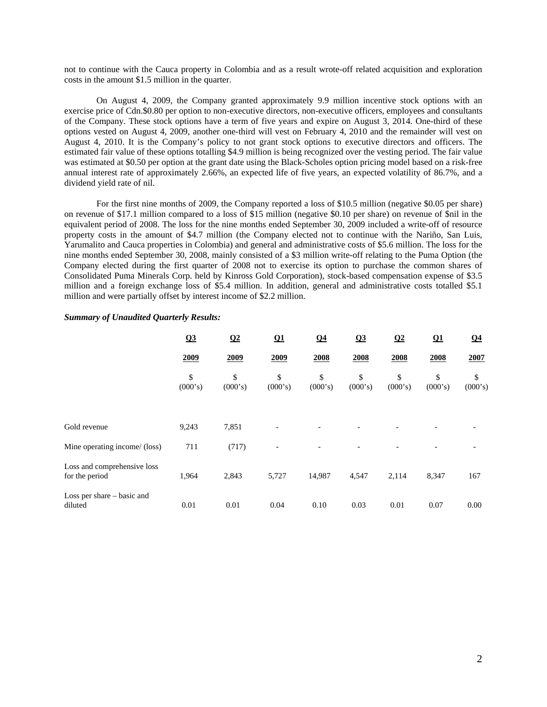not to continue with the Cauca property in Colombia and as a result wrote-off related acquisition and exploration costs in the amount \$1.5 million in the quarter.

On August 4, 2009, the Company granted approximately 9.9 million incentive stock options with an exercise price of Cdn.\$0.80 per option to non-executive directors, non-executive officers, employees and consultants of the Company. These stock options have a term of five years and expire on August 3, 2014. One-third of these options vested on August 4, 2009, another one-third will vest on February 4, 2010 and the remainder will vest on August 4, 2010. It is the Company's policy to not grant stock options to executive directors and officers. The estimated fair value of these options totalling \$4.9 million is being recognized over the vesting period. The fair value was estimated at \$0.50 per option at the grant date using the Black-Scholes option pricing model based on a risk-free annual interest rate of approximately 2.66%, an expected life of five years, an expected volatility of 86.7%, and a dividend yield rate of nil.

For the first nine months of 2009, the Company reported a loss of \$10.5 million (negative \$0.05 per share) on revenue of \$17.1 million compared to a loss of \$15 million (negative \$0.10 per share) on revenue of \$nil in the equivalent period of 2008. The loss for the nine months ended September 30, 2009 included a write-off of resource property costs in the amount of \$4.7 million (the Company elected not to continue with the Nariño, San Luis, Yarumalito and Cauca properties in Colombia) and general and administrative costs of \$5.6 million. The loss for the nine months ended September 30, 2008, mainly consisted of a \$3 million write-off relating to the Puma Option (the Company elected during the first quarter of 2008 not to exercise its option to purchase the common shares of Consolidated Puma Minerals Corp. held by Kinross Gold Corporation), stock-based compensation expense of \$3.5 million and a foreign exchange loss of \$5.4 million. In addition, general and administrative costs totalled \$5.1 million and were partially offset by interest income of \$2.2 million.

|                                               | Q3            | $\Omega$      | $\Omega$      | Q <sub>4</sub> | Q <sub>3</sub> | $\Omega$      | $\Omega$      | Q <sub>4</sub> |
|-----------------------------------------------|---------------|---------------|---------------|----------------|----------------|---------------|---------------|----------------|
|                                               | 2009          | 2009          | 2009          | 2008           | 2008           | 2008          | 2008          | 2007           |
|                                               | \$<br>(000's) | \$<br>(000's) | \$<br>(000's) | \$<br>(000's)  | \$<br>(000's)  | \$<br>(000's) | \$<br>(000's) | \$<br>(000's)  |
| Gold revenue                                  | 9,243         | 7,851         |               |                |                |               |               |                |
| Mine operating income/ (loss)                 | 711           | (717)         |               |                |                |               |               |                |
| Loss and comprehensive loss<br>for the period | 1,964         | 2,843         | 5,727         | 14,987         | 4,547          | 2,114         | 8,347         | 167            |
| Loss per share – basic and<br>diluted         | 0.01          | 0.01          | 0.04          | 0.10           | 0.03           | 0.01          | 0.07          | 0.00           |

#### *Summary of Unaudited Quarterly Results:*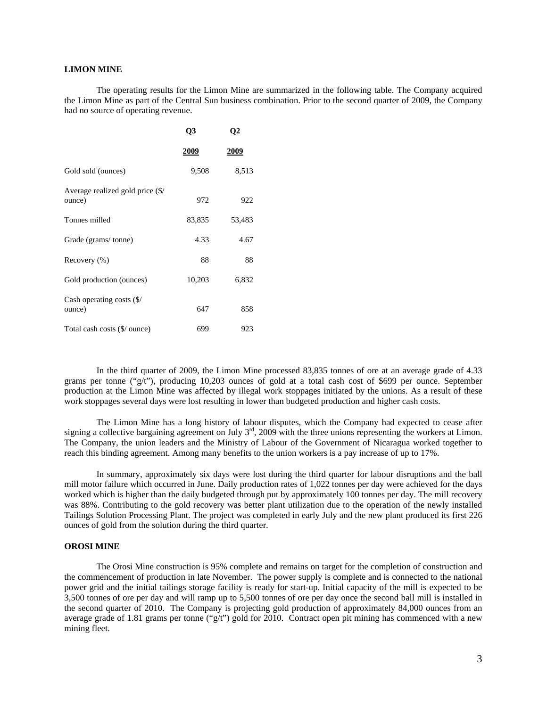### **LIMON MINE**

The operating results for the Limon Mine are summarized in the following table. The Company acquired the Limon Mine as part of the Central Sun business combination. Prior to the second quarter of 2009, the Company had no source of operating revenue.

|                                                | Q <sub>3</sub> | Q <sub>2</sub> |  |
|------------------------------------------------|----------------|----------------|--|
|                                                | <u>2009</u>    | <u>2009</u>    |  |
| Gold sold (ounces)                             | 9,508          | 8,513          |  |
| Average realized gold price (\$/<br>ounce)     | 972            | 922            |  |
| Tonnes milled                                  | 83,835         | 53,483         |  |
| Grade (grams/tonne)                            | 4.33           | 4.67           |  |
| Recovery (%)                                   | 88             | 88             |  |
| Gold production (ounces)                       | 10,203         | 6,832          |  |
| Cash operating costs $(\frac{6}{2})$<br>ounce) | 647            | 858            |  |
| Total cash costs (\$/ ounce)                   | 699            | 923            |  |

In the third quarter of 2009, the Limon Mine processed 83,835 tonnes of ore at an average grade of 4.33 grams per tonne ("g/t"), producing 10,203 ounces of gold at a total cash cost of \$699 per ounce. September production at the Limon Mine was affected by illegal work stoppages initiated by the unions. As a result of these work stoppages several days were lost resulting in lower than budgeted production and higher cash costs.

The Limon Mine has a long history of labour disputes, which the Company had expected to cease after signing a collective bargaining agreement on July  $3<sup>rd</sup>$ , 2009 with the three unions representing the workers at Limon. The Company, the union leaders and the Ministry of Labour of the Government of Nicaragua worked together to reach this binding agreement. Among many benefits to the union workers is a pay increase of up to 17%.

In summary, approximately six days were lost during the third quarter for labour disruptions and the ball mill motor failure which occurred in June. Daily production rates of 1,022 tonnes per day were achieved for the days worked which is higher than the daily budgeted through put by approximately 100 tonnes per day. The mill recovery was 88%. Contributing to the gold recovery was better plant utilization due to the operation of the newly installed Tailings Solution Processing Plant. The project was completed in early July and the new plant produced its first 226 ounces of gold from the solution during the third quarter.

#### **OROSI MINE**

The Orosi Mine construction is 95% complete and remains on target for the completion of construction and the commencement of production in late November. The power supply is complete and is connected to the national power grid and the initial tailings storage facility is ready for start-up. Initial capacity of the mill is expected to be 3,500 tonnes of ore per day and will ramp up to 5,500 tonnes of ore per day once the second ball mill is installed in the second quarter of 2010. The Company is projecting gold production of approximately 84,000 ounces from an average grade of 1.81 grams per tonne ("g/t") gold for 2010. Contract open pit mining has commenced with a new mining fleet.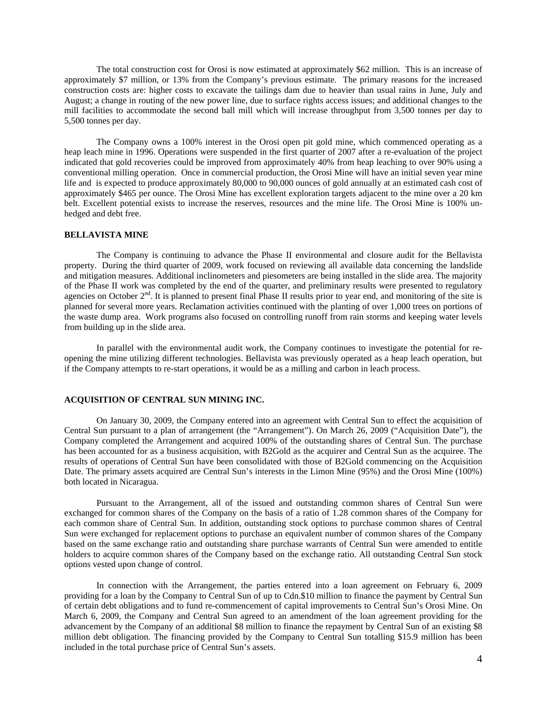The total construction cost for Orosi is now estimated at approximately \$62 million. This is an increase of approximately \$7 million, or 13% from the Company's previous estimate. The primary reasons for the increased construction costs are: higher costs to excavate the tailings dam due to heavier than usual rains in June, July and August; a change in routing of the new power line, due to surface rights access issues; and additional changes to the mill facilities to accommodate the second ball mill which will increase throughput from 3,500 tonnes per day to 5,500 tonnes per day.

The Company owns a 100% interest in the Orosi open pit gold mine, which commenced operating as a heap leach mine in 1996. Operations were suspended in the first quarter of 2007 after a re-evaluation of the project indicated that gold recoveries could be improved from approximately 40% from heap leaching to over 90% using a conventional milling operation. Once in commercial production, the Orosi Mine will have an initial seven year mine life and is expected to produce approximately 80,000 to 90,000 ounces of gold annually at an estimated cash cost of approximately \$465 per ounce. The Orosi Mine has excellent exploration targets adjacent to the mine over a 20 km belt. Excellent potential exists to increase the reserves, resources and the mine life. The Orosi Mine is 100% unhedged and debt free.

### **BELLAVISTA MINE**

The Company is continuing to advance the Phase II environmental and closure audit for the Bellavista property. During the third quarter of 2009, work focused on reviewing all available data concerning the landslide and mitigation measures. Additional inclinometers and piesometers are being installed in the slide area. The majority of the Phase II work was completed by the end of the quarter, and preliminary results were presented to regulatory agencies on October  $2<sup>nd</sup>$ . It is planned to present final Phase II results prior to year end, and monitoring of the site is planned for several more years. Reclamation activities continued with the planting of over 1,000 trees on portions of the waste dump area. Work programs also focused on controlling runoff from rain storms and keeping water levels from building up in the slide area.

In parallel with the environmental audit work, the Company continues to investigate the potential for reopening the mine utilizing different technologies. Bellavista was previously operated as a heap leach operation, but if the Company attempts to re-start operations, it would be as a milling and carbon in leach process.

#### **ACQUISITION OF CENTRAL SUN MINING INC.**

On January 30, 2009, the Company entered into an agreement with Central Sun to effect the acquisition of Central Sun pursuant to a plan of arrangement (the "Arrangement"). On March 26, 2009 ("Acquisition Date"), the Company completed the Arrangement and acquired 100% of the outstanding shares of Central Sun. The purchase has been accounted for as a business acquisition, with B2Gold as the acquirer and Central Sun as the acquiree. The results of operations of Central Sun have been consolidated with those of B2Gold commencing on the Acquisition Date. The primary assets acquired are Central Sun's interests in the Limon Mine (95%) and the Orosi Mine (100%) both located in Nicaragua.

Pursuant to the Arrangement, all of the issued and outstanding common shares of Central Sun were exchanged for common shares of the Company on the basis of a ratio of 1.28 common shares of the Company for each common share of Central Sun. In addition, outstanding stock options to purchase common shares of Central Sun were exchanged for replacement options to purchase an equivalent number of common shares of the Company based on the same exchange ratio and outstanding share purchase warrants of Central Sun were amended to entitle holders to acquire common shares of the Company based on the exchange ratio. All outstanding Central Sun stock options vested upon change of control.

In connection with the Arrangement, the parties entered into a loan agreement on February 6, 2009 providing for a loan by the Company to Central Sun of up to Cdn.\$10 million to finance the payment by Central Sun of certain debt obligations and to fund re-commencement of capital improvements to Central Sun's Orosi Mine. On March 6, 2009, the Company and Central Sun agreed to an amendment of the loan agreement providing for the advancement by the Company of an additional \$8 million to finance the repayment by Central Sun of an existing \$8 million debt obligation. The financing provided by the Company to Central Sun totalling \$15.9 million has been included in the total purchase price of Central Sun's assets.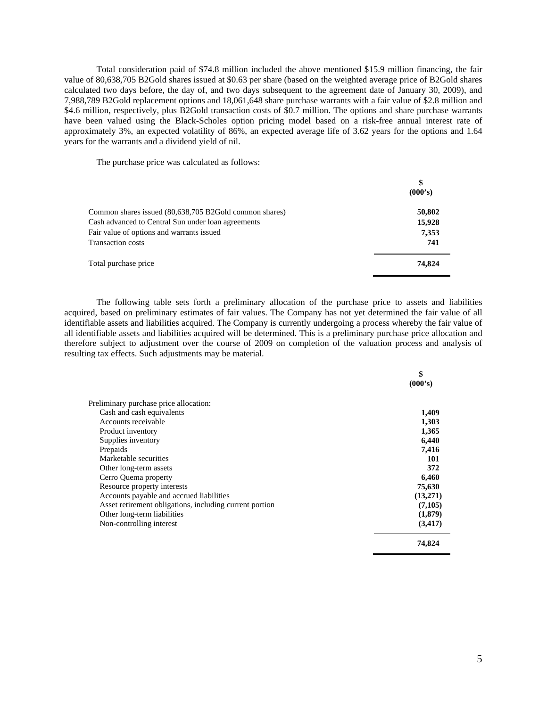Total consideration paid of \$74.8 million included the above mentioned \$15.9 million financing, the fair value of 80,638,705 B2Gold shares issued at \$0.63 per share (based on the weighted average price of B2Gold shares calculated two days before, the day of, and two days subsequent to the agreement date of January 30, 2009), and 7,988,789 B2Gold replacement options and 18,061,648 share purchase warrants with a fair value of \$2.8 million and \$4.6 million, respectively, plus B2Gold transaction costs of \$0.7 million. The options and share purchase warrants have been valued using the Black-Scholes option pricing model based on a risk-free annual interest rate of approximately 3%, an expected volatility of 86%, an expected average life of 3.62 years for the options and 1.64 years for the warrants and a dividend yield of nil.

The purchase price was calculated as follows:

|                                                        | \$<br>(000's) |
|--------------------------------------------------------|---------------|
| Common shares issued (80,638,705 B2Gold common shares) | 50,802        |
| Cash advanced to Central Sun under loan agreements     | 15,928        |
| Fair value of options and warrants issued              | 7,353         |
| <b>Transaction costs</b>                               | 741           |
| Total purchase price                                   | 74.824        |

The following table sets forth a preliminary allocation of the purchase price to assets and liabilities acquired, based on preliminary estimates of fair values. The Company has not yet determined the fair value of all identifiable assets and liabilities acquired. The Company is currently undergoing a process whereby the fair value of all identifiable assets and liabilities acquired will be determined. This is a preliminary purchase price allocation and therefore subject to adjustment over the course of 2009 on completion of the valuation process and analysis of resulting tax effects. Such adjustments may be material.

|                                                         | \$       |
|---------------------------------------------------------|----------|
|                                                         | (000's)  |
| Preliminary purchase price allocation:                  |          |
| Cash and cash equivalents                               | 1,409    |
| Accounts receivable                                     | 1,303    |
| Product inventory                                       | 1,365    |
| Supplies inventory                                      | 6,440    |
| Prepaids                                                | 7,416    |
| Marketable securities                                   | 101      |
| Other long-term assets                                  | 372      |
| Cerro Quema property                                    | 6,460    |
| Resource property interests                             | 75,630   |
| Accounts payable and accrued liabilities                | (13,271) |
| Asset retirement obligations, including current portion | (7,105)  |
| Other long-term liabilities                             | (1,879)  |
| Non-controlling interest                                | (3, 417) |
|                                                         | 74,824   |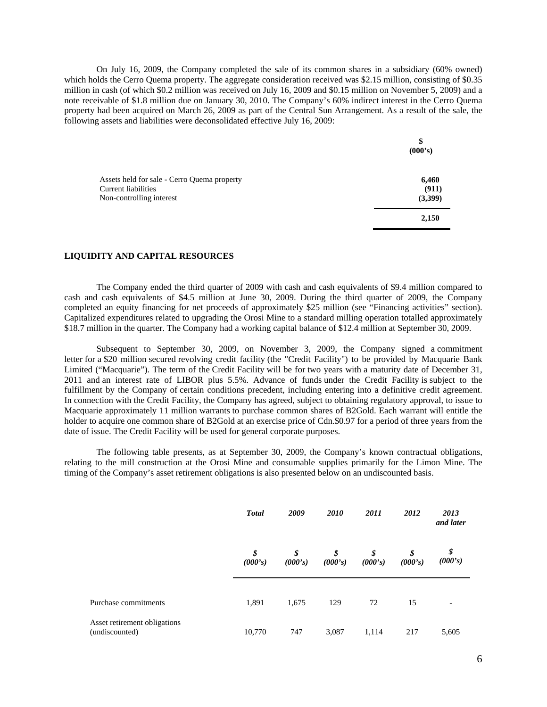On July 16, 2009, the Company completed the sale of its common shares in a subsidiary (60% owned) which holds the Cerro Quema property. The aggregate consideration received was \$2.15 million, consisting of \$0.35 million in cash (of which \$0.2 million was received on July 16, 2009 and \$0.15 million on November 5, 2009) and a note receivable of \$1.8 million due on January 30, 2010. The Company's 60% indirect interest in the Cerro Quema property had been acquired on March 26, 2009 as part of the Central Sun Arrangement. As a result of the sale, the following assets and liabilities were deconsolidated effective July 16, 2009:

**\$** 

|                                             | Φ<br>(000's) |
|---------------------------------------------|--------------|
| Assets held for sale - Cerro Quema property | 6,460        |
| Current liabilities                         | (911)        |
| Non-controlling interest                    | (3,399)      |
|                                             | 2,150        |

#### **LIQUIDITY AND CAPITAL RESOURCES**

The Company ended the third quarter of 2009 with cash and cash equivalents of \$9.4 million compared to cash and cash equivalents of \$4.5 million at June 30, 2009. During the third quarter of 2009, the Company completed an equity financing for net proceeds of approximately \$25 million (see "Financing activities" section). Capitalized expenditures related to upgrading the Orosi Mine to a standard milling operation totalled approximately \$18.7 million in the quarter. The Company had a working capital balance of \$12.4 million at September 30, 2009.

Subsequent to September 30, 2009, on November 3, 2009, the Company signed a commitment letter for a \$20 million secured revolving credit facility (the "Credit Facility") to be provided by Macquarie Bank Limited ("Macquarie"). The term of the Credit Facility will be for two years with a maturity date of December 31, 2011 and an interest rate of LIBOR plus 5.5%. Advance of funds under the Credit Facility is subject to the fulfillment by the Company of certain conditions precedent, including entering into a definitive credit agreement. In connection with the Credit Facility, the Company has agreed, subject to obtaining regulatory approval, to issue to Macquarie approximately 11 million warrants to purchase common shares of B2Gold. Each warrant will entitle the holder to acquire one common share of B2Gold at an exercise price of Cdn.\$0.97 for a period of three years from the date of issue. The Credit Facility will be used for general corporate purposes.

The following table presents, as at September 30, 2009, the Company's known contractual obligations, relating to the mill construction at the Orosi Mine and consumable supplies primarily for the Limon Mine. The timing of the Company's asset retirement obligations is also presented below on an undiscounted basis.

|                                                | <b>T</b> otal | 2009          | 2010          | 2011          | 2012          | 2013<br>and later |
|------------------------------------------------|---------------|---------------|---------------|---------------|---------------|-------------------|
|                                                | \$<br>(000's) | \$<br>(000's) | \$<br>(000's) | \$<br>(000's) | \$<br>(000's) | \$<br>(000's)     |
| Purchase commitments                           | 1,891         | 1,675         | 129           | 72            | 15            |                   |
| Asset retirement obligations<br>(undiscounted) | 10,770        | 747           | 3,087         | 1,114         | 217           | 5,605             |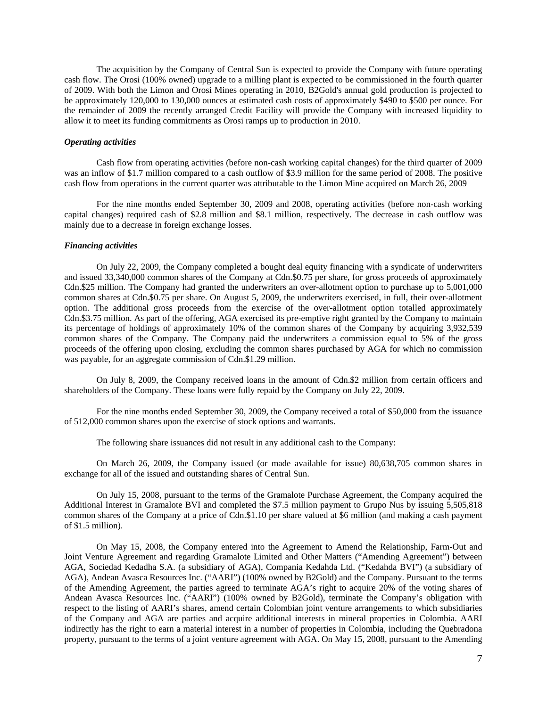The acquisition by the Company of Central Sun is expected to provide the Company with future operating cash flow. The Orosi (100% owned) upgrade to a milling plant is expected to be commissioned in the fourth quarter of 2009. With both the Limon and Orosi Mines operating in 2010, B2Gold's annual gold production is projected to be approximately 120,000 to 130,000 ounces at estimated cash costs of approximately \$490 to \$500 per ounce. For the remainder of 2009 the recently arranged Credit Facility will provide the Company with increased liquidity to allow it to meet its funding commitments as Orosi ramps up to production in 2010.

### *Operating activities*

Cash flow from operating activities (before non-cash working capital changes) for the third quarter of 2009 was an inflow of \$1.7 million compared to a cash outflow of \$3.9 million for the same period of 2008. The positive cash flow from operations in the current quarter was attributable to the Limon Mine acquired on March 26, 2009

For the nine months ended September 30, 2009 and 2008, operating activities (before non-cash working capital changes) required cash of \$2.8 million and \$8.1 million, respectively. The decrease in cash outflow was mainly due to a decrease in foreign exchange losses.

#### *Financing activities*

On July 22, 2009, the Company completed a bought deal equity financing with a syndicate of underwriters and issued 33,340,000 common shares of the Company at Cdn.\$0.75 per share, for gross proceeds of approximately Cdn.\$25 million. The Company had granted the underwriters an over-allotment option to purchase up to 5,001,000 common shares at Cdn.\$0.75 per share. On August 5, 2009, the underwriters exercised, in full, their over-allotment option. The additional gross proceeds from the exercise of the over-allotment option totalled approximately Cdn.\$3.75 million. As part of the offering, AGA exercised its pre-emptive right granted by the Company to maintain its percentage of holdings of approximately 10% of the common shares of the Company by acquiring 3,932,539 common shares of the Company. The Company paid the underwriters a commission equal to 5% of the gross proceeds of the offering upon closing, excluding the common shares purchased by AGA for which no commission was payable, for an aggregate commission of Cdn.\$1.29 million.

On July 8, 2009, the Company received loans in the amount of Cdn.\$2 million from certain officers and shareholders of the Company. These loans were fully repaid by the Company on July 22, 2009.

For the nine months ended September 30, 2009, the Company received a total of \$50,000 from the issuance of 512,000 common shares upon the exercise of stock options and warrants.

The following share issuances did not result in any additional cash to the Company:

On March 26, 2009, the Company issued (or made available for issue) 80,638,705 common shares in exchange for all of the issued and outstanding shares of Central Sun.

On July 15, 2008, pursuant to the terms of the Gramalote Purchase Agreement, the Company acquired the Additional Interest in Gramalote BVI and completed the \$7.5 million payment to Grupo Nus by issuing 5,505,818 common shares of the Company at a price of Cdn.\$1.10 per share valued at \$6 million (and making a cash payment of \$1.5 million).

On May 15, 2008, the Company entered into the Agreement to Amend the Relationship, Farm-Out and Joint Venture Agreement and regarding Gramalote Limited and Other Matters ("Amending Agreement") between AGA, Sociedad Kedadha S.A. (a subsidiary of AGA), Compania Kedahda Ltd. ("Kedahda BVI") (a subsidiary of AGA), Andean Avasca Resources Inc. ("AARI") (100% owned by B2Gold) and the Company. Pursuant to the terms of the Amending Agreement, the parties agreed to terminate AGA's right to acquire 20% of the voting shares of Andean Avasca Resources Inc. ("AARI") (100% owned by B2Gold), terminate the Company's obligation with respect to the listing of AARI's shares, amend certain Colombian joint venture arrangements to which subsidiaries of the Company and AGA are parties and acquire additional interests in mineral properties in Colombia. AARI indirectly has the right to earn a material interest in a number of properties in Colombia, including the Quebradona property, pursuant to the terms of a joint venture agreement with AGA. On May 15, 2008, pursuant to the Amending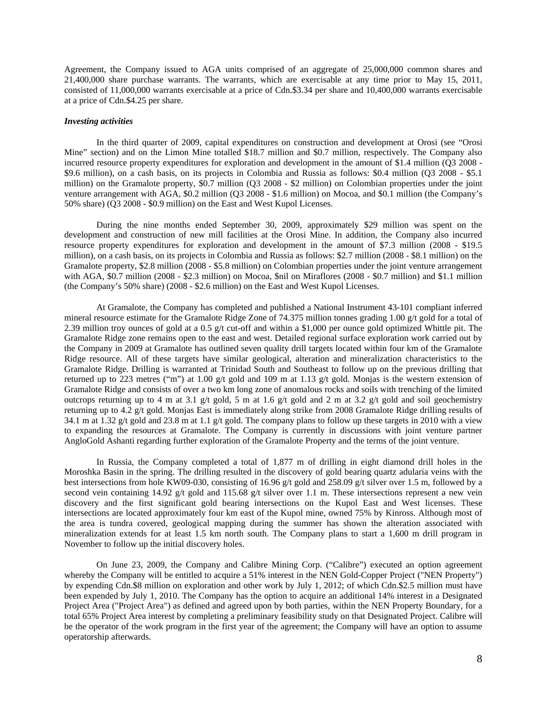Agreement, the Company issued to AGA units comprised of an aggregate of 25,000,000 common shares and 21,400,000 share purchase warrants. The warrants, which are exercisable at any time prior to May 15, 2011, consisted of 11,000,000 warrants exercisable at a price of Cdn.\$3.34 per share and 10,400,000 warrants exercisable at a price of Cdn.\$4.25 per share.

#### *Investing activities*

In the third quarter of 2009, capital expenditures on construction and development at Orosi (see "Orosi Mine" section) and on the Limon Mine totalled \$18.7 million and \$0.7 million, respectively. The Company also incurred resource property expenditures for exploration and development in the amount of \$1.4 million (Q3 2008 - \$9.6 million), on a cash basis, on its projects in Colombia and Russia as follows: \$0.4 million (Q3 2008 - \$5.1 million) on the Gramalote property, \$0.7 million (Q3 2008 - \$2 million) on Colombian properties under the joint venture arrangement with AGA, \$0.2 million (Q3 2008 - \$1.6 million) on Mocoa, and \$0.1 million (the Company's 50% share) (Q3 2008 - \$0.9 million) on the East and West Kupol Licenses.

During the nine months ended September 30, 2009, approximately \$29 million was spent on the development and construction of new mill facilities at the Orosi Mine. In addition, the Company also incurred resource property expenditures for exploration and development in the amount of \$7.3 million (2008 - \$19.5 million), on a cash basis, on its projects in Colombia and Russia as follows: \$2.7 million (2008 - \$8.1 million) on the Gramalote property, \$2.8 million (2008 - \$5.8 million) on Colombian properties under the joint venture arrangement with AGA, \$0.7 million (2008 - \$2.3 million) on Mocoa, \$nil on Miraflores (2008 - \$0.7 million) and \$1.1 million (the Company's 50% share) (2008 - \$2.6 million) on the East and West Kupol Licenses.

At Gramalote, the Company has completed and published a National Instrument 43-101 compliant inferred mineral resource estimate for the Gramalote Ridge Zone of 74.375 million tonnes grading 1.00 g/t gold for a total of 2.39 million troy ounces of gold at a 0.5 g/t cut-off and within a \$1,000 per ounce gold optimized Whittle pit. The Gramalote Ridge zone remains open to the east and west. Detailed regional surface exploration work carried out by the Company in 2009 at Gramalote has outlined seven quality drill targets located within four km of the Gramalote Ridge resource. All of these targets have similar geological, alteration and mineralization characteristics to the Gramalote Ridge. Drilling is warranted at Trinidad South and Southeast to follow up on the previous drilling that returned up to 223 metres ("m") at 1.00 g/t gold and 109 m at 1.13 g/t gold. Monjas is the western extension of Gramalote Ridge and consists of over a two km long zone of anomalous rocks and soils with trenching of the limited outcrops returning up to 4 m at 3.1 g/t gold, 5 m at 1.6 g/t gold and 2 m at 3.2 g/t gold and soil geochemistry returning up to 4.2 g/t gold. Monjas East is immediately along strike from 2008 Gramalote Ridge drilling results of 34.1 m at 1.32 g/t gold and 23.8 m at 1.1 g/t gold. The company plans to follow up these targets in 2010 with a view to expanding the resources at Gramalote. The Company is currently in discussions with joint venture partner AngloGold Ashanti regarding further exploration of the Gramalote Property and the terms of the joint venture.

In Russia, the Company completed a total of 1,877 m of drilling in eight diamond drill holes in the Moroshka Basin in the spring. The drilling resulted in the discovery of gold bearing quartz adularia veins with the best intersections from hole KW09-030, consisting of 16.96 g/t gold and 258.09 g/t silver over 1.5 m, followed by a second vein containing 14.92 g/t gold and 115.68 g/t silver over 1.1 m. These intersections represent a new vein discovery and the first significant gold bearing intersections on the Kupol East and West licenses. These intersections are located approximately four km east of the Kupol mine, owned 75% by Kinross. Although most of the area is tundra covered, geological mapping during the summer has shown the alteration associated with mineralization extends for at least 1.5 km north south. The Company plans to start a 1,600 m drill program in November to follow up the initial discovery holes.

On June 23, 2009, the Company and Calibre Mining Corp. ("Calibre") executed an option agreement whereby the Company will be entitled to acquire a 51% interest in the NEN Gold-Copper Project ("NEN Property") by expending Cdn.\$8 million on exploration and other work by July 1, 2012; of which Cdn.\$2.5 million must have been expended by July 1, 2010. The Company has the option to acquire an additional 14% interest in a Designated Project Area ("Project Area") as defined and agreed upon by both parties, within the NEN Property Boundary, for a total 65% Project Area interest by completing a preliminary feasibility study on that Designated Project. Calibre will be the operator of the work program in the first year of the agreement; the Company will have an option to assume operatorship afterwards.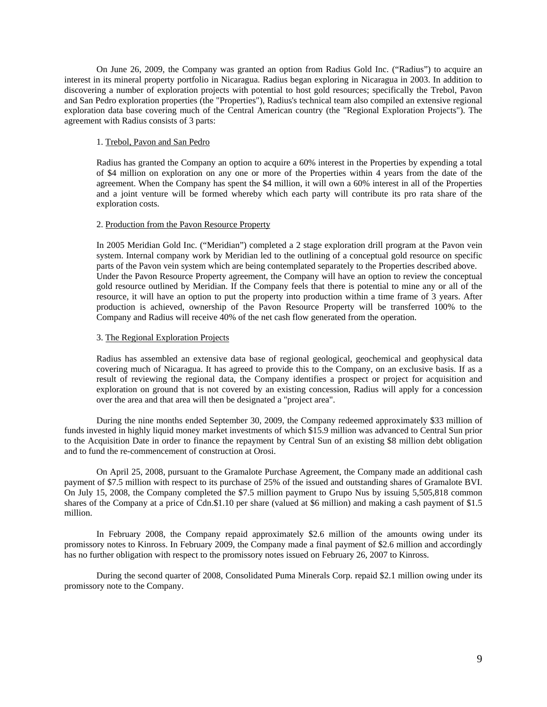On June 26, 2009, the Company was granted an option from Radius Gold Inc. ("Radius") to acquire an interest in its mineral property portfolio in Nicaragua. Radius began exploring in Nicaragua in 2003. In addition to discovering a number of exploration projects with potential to host gold resources; specifically the Trebol, Pavon and San Pedro exploration properties (the "Properties"), Radius's technical team also compiled an extensive regional exploration data base covering much of the Central American country (the "Regional Exploration Projects"). The agreement with Radius consists of 3 parts:

#### 1. Trebol, Pavon and San Pedro

Radius has granted the Company an option to acquire a 60% interest in the Properties by expending a total of \$4 million on exploration on any one or more of the Properties within 4 years from the date of the agreement. When the Company has spent the \$4 million, it will own a 60% interest in all of the Properties and a joint venture will be formed whereby which each party will contribute its pro rata share of the exploration costs.

### 2. Production from the Pavon Resource Property

In 2005 Meridian Gold Inc. ("Meridian") completed a 2 stage exploration drill program at the Pavon vein system. Internal company work by Meridian led to the outlining of a conceptual gold resource on specific parts of the Pavon vein system which are being contemplated separately to the Properties described above. Under the Pavon Resource Property agreement, the Company will have an option to review the conceptual gold resource outlined by Meridian. If the Company feels that there is potential to mine any or all of the resource, it will have an option to put the property into production within a time frame of 3 years. After production is achieved, ownership of the Pavon Resource Property will be transferred 100% to the Company and Radius will receive 40% of the net cash flow generated from the operation.

### 3. The Regional Exploration Projects

Radius has assembled an extensive data base of regional geological, geochemical and geophysical data covering much of Nicaragua. It has agreed to provide this to the Company, on an exclusive basis. If as a result of reviewing the regional data, the Company identifies a prospect or project for acquisition and exploration on ground that is not covered by an existing concession, Radius will apply for a concession over the area and that area will then be designated a "project area".

During the nine months ended September 30, 2009, the Company redeemed approximately \$33 million of funds invested in highly liquid money market investments of which \$15.9 million was advanced to Central Sun prior to the Acquisition Date in order to finance the repayment by Central Sun of an existing \$8 million debt obligation and to fund the re-commencement of construction at Orosi.

On April 25, 2008, pursuant to the Gramalote Purchase Agreement, the Company made an additional cash payment of \$7.5 million with respect to its purchase of 25% of the issued and outstanding shares of Gramalote BVI. On July 15, 2008, the Company completed the \$7.5 million payment to Grupo Nus by issuing 5,505,818 common shares of the Company at a price of Cdn.\$1.10 per share (valued at \$6 million) and making a cash payment of \$1.5 million.

In February 2008, the Company repaid approximately \$2.6 million of the amounts owing under its promissory notes to Kinross. In February 2009, the Company made a final payment of \$2.6 million and accordingly has no further obligation with respect to the promissory notes issued on February 26, 2007 to Kinross.

During the second quarter of 2008, Consolidated Puma Minerals Corp. repaid \$2.1 million owing under its promissory note to the Company.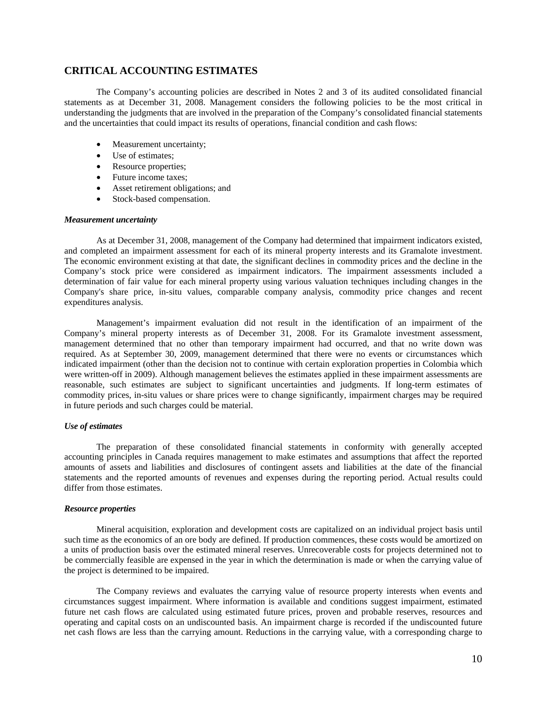# **CRITICAL ACCOUNTING ESTIMATES**

The Company's accounting policies are described in Notes 2 and 3 of its audited consolidated financial statements as at December 31, 2008. Management considers the following policies to be the most critical in understanding the judgments that are involved in the preparation of the Company's consolidated financial statements and the uncertainties that could impact its results of operations, financial condition and cash flows:

- Measurement uncertainty;
- Use of estimates;
- Resource properties;
- Future income taxes;
- Asset retirement obligations; and
- Stock-based compensation.

### *Measurement uncertainty*

As at December 31, 2008, management of the Company had determined that impairment indicators existed, and completed an impairment assessment for each of its mineral property interests and its Gramalote investment. The economic environment existing at that date, the significant declines in commodity prices and the decline in the Company's stock price were considered as impairment indicators. The impairment assessments included a determination of fair value for each mineral property using various valuation techniques including changes in the Company's share price, in-situ values, comparable company analysis, commodity price changes and recent expenditures analysis.

Management's impairment evaluation did not result in the identification of an impairment of the Company's mineral property interests as of December 31, 2008. For its Gramalote investment assessment, management determined that no other than temporary impairment had occurred, and that no write down was required. As at September 30, 2009, management determined that there were no events or circumstances which indicated impairment (other than the decision not to continue with certain exploration properties in Colombia which were written-off in 2009). Although management believes the estimates applied in these impairment assessments are reasonable, such estimates are subject to significant uncertainties and judgments. If long-term estimates of commodity prices, in-situ values or share prices were to change significantly, impairment charges may be required in future periods and such charges could be material.

### *Use of estimates*

The preparation of these consolidated financial statements in conformity with generally accepted accounting principles in Canada requires management to make estimates and assumptions that affect the reported amounts of assets and liabilities and disclosures of contingent assets and liabilities at the date of the financial statements and the reported amounts of revenues and expenses during the reporting period. Actual results could differ from those estimates.

#### *Resource properties*

Mineral acquisition, exploration and development costs are capitalized on an individual project basis until such time as the economics of an ore body are defined. If production commences, these costs would be amortized on a units of production basis over the estimated mineral reserves. Unrecoverable costs for projects determined not to be commercially feasible are expensed in the year in which the determination is made or when the carrying value of the project is determined to be impaired.

The Company reviews and evaluates the carrying value of resource property interests when events and circumstances suggest impairment. Where information is available and conditions suggest impairment, estimated future net cash flows are calculated using estimated future prices, proven and probable reserves, resources and operating and capital costs on an undiscounted basis. An impairment charge is recorded if the undiscounted future net cash flows are less than the carrying amount. Reductions in the carrying value, with a corresponding charge to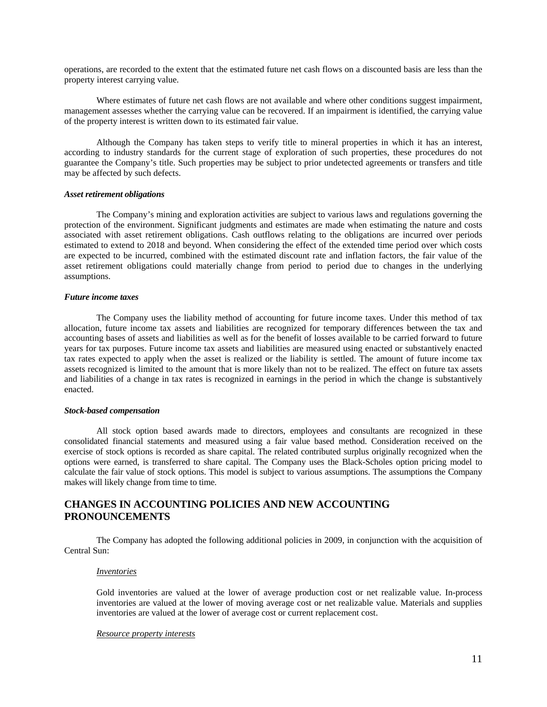operations, are recorded to the extent that the estimated future net cash flows on a discounted basis are less than the property interest carrying value.

Where estimates of future net cash flows are not available and where other conditions suggest impairment, management assesses whether the carrying value can be recovered. If an impairment is identified, the carrying value of the property interest is written down to its estimated fair value.

Although the Company has taken steps to verify title to mineral properties in which it has an interest, according to industry standards for the current stage of exploration of such properties, these procedures do not guarantee the Company's title. Such properties may be subject to prior undetected agreements or transfers and title may be affected by such defects.

#### *Asset retirement obligations*

The Company's mining and exploration activities are subject to various laws and regulations governing the protection of the environment. Significant judgments and estimates are made when estimating the nature and costs associated with asset retirement obligations. Cash outflows relating to the obligations are incurred over periods estimated to extend to 2018 and beyond. When considering the effect of the extended time period over which costs are expected to be incurred, combined with the estimated discount rate and inflation factors, the fair value of the asset retirement obligations could materially change from period to period due to changes in the underlying assumptions.

#### *Future income taxes*

The Company uses the liability method of accounting for future income taxes. Under this method of tax allocation, future income tax assets and liabilities are recognized for temporary differences between the tax and accounting bases of assets and liabilities as well as for the benefit of losses available to be carried forward to future years for tax purposes. Future income tax assets and liabilities are measured using enacted or substantively enacted tax rates expected to apply when the asset is realized or the liability is settled. The amount of future income tax assets recognized is limited to the amount that is more likely than not to be realized. The effect on future tax assets and liabilities of a change in tax rates is recognized in earnings in the period in which the change is substantively enacted.

#### *Stock-based compensation*

All stock option based awards made to directors, employees and consultants are recognized in these consolidated financial statements and measured using a fair value based method. Consideration received on the exercise of stock options is recorded as share capital. The related contributed surplus originally recognized when the options were earned, is transferred to share capital. The Company uses the Black-Scholes option pricing model to calculate the fair value of stock options. This model is subject to various assumptions. The assumptions the Company makes will likely change from time to time.

# **CHANGES IN ACCOUNTING POLICIES AND NEW ACCOUNTING PRONOUNCEMENTS**

The Company has adopted the following additional policies in 2009, in conjunction with the acquisition of Central Sun:

#### *Inventories*

Gold inventories are valued at the lower of average production cost or net realizable value. In-process inventories are valued at the lower of moving average cost or net realizable value. Materials and supplies inventories are valued at the lower of average cost or current replacement cost.

#### *Resource property interests*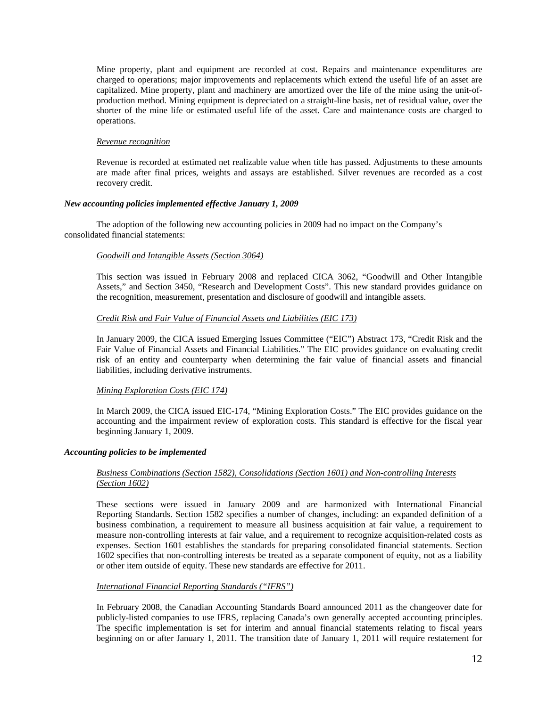Mine property, plant and equipment are recorded at cost. Repairs and maintenance expenditures are charged to operations; major improvements and replacements which extend the useful life of an asset are capitalized. Mine property, plant and machinery are amortized over the life of the mine using the unit-ofproduction method. Mining equipment is depreciated on a straight-line basis, net of residual value, over the shorter of the mine life or estimated useful life of the asset. Care and maintenance costs are charged to operations.

### *Revenue recognition*

Revenue is recorded at estimated net realizable value when title has passed. Adjustments to these amounts are made after final prices, weights and assays are established. Silver revenues are recorded as a cost recovery credit.

### *New accounting policies implemented effective January 1, 2009*

The adoption of the following new accounting policies in 2009 had no impact on the Company's consolidated financial statements:

## *Goodwill and Intangible Assets (Section 3064)*

This section was issued in February 2008 and replaced CICA 3062, "Goodwill and Other Intangible Assets," and Section 3450, "Research and Development Costs". This new standard provides guidance on the recognition, measurement, presentation and disclosure of goodwill and intangible assets.

### *Credit Risk and Fair Value of Financial Assets and Liabilities (EIC 173)*

In January 2009, the CICA issued Emerging Issues Committee ("EIC") Abstract 173, "Credit Risk and the Fair Value of Financial Assets and Financial Liabilities." The EIC provides guidance on evaluating credit risk of an entity and counterparty when determining the fair value of financial assets and financial liabilities, including derivative instruments.

#### *Mining Exploration Costs (EIC 174)*

In March 2009, the CICA issued EIC-174, "Mining Exploration Costs." The EIC provides guidance on the accounting and the impairment review of exploration costs. This standard is effective for the fiscal year beginning January 1, 2009.

#### *Accounting policies to be implemented*

### *Business Combinations (Section 1582), Consolidations (Section 1601) and Non-controlling Interests (Section 1602)*

These sections were issued in January 2009 and are harmonized with International Financial Reporting Standards. Section 1582 specifies a number of changes, including: an expanded definition of a business combination, a requirement to measure all business acquisition at fair value, a requirement to measure non-controlling interests at fair value, and a requirement to recognize acquisition-related costs as expenses. Section 1601 establishes the standards for preparing consolidated financial statements. Section 1602 specifies that non-controlling interests be treated as a separate component of equity, not as a liability or other item outside of equity. These new standards are effective for 2011.

#### *International Financial Reporting Standards ("IFRS")*

In February 2008, the Canadian Accounting Standards Board announced 2011 as the changeover date for publicly-listed companies to use IFRS, replacing Canada's own generally accepted accounting principles. The specific implementation is set for interim and annual financial statements relating to fiscal years beginning on or after January 1, 2011. The transition date of January 1, 2011 will require restatement for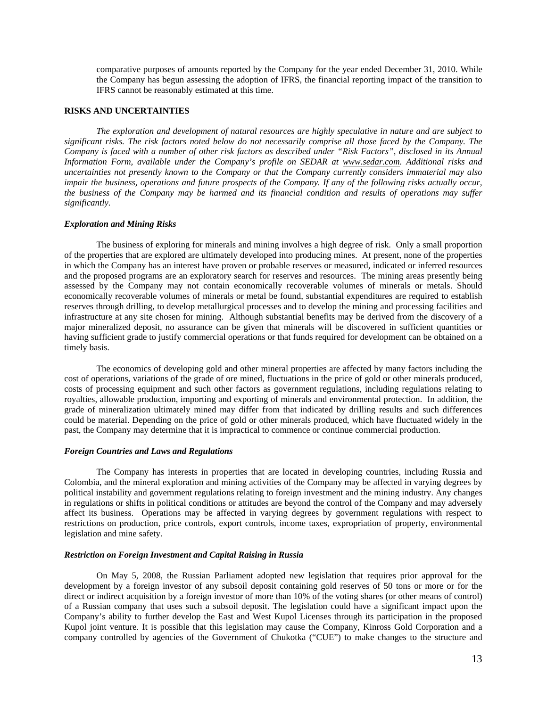comparative purposes of amounts reported by the Company for the year ended December 31, 2010. While the Company has begun assessing the adoption of IFRS, the financial reporting impact of the transition to IFRS cannot be reasonably estimated at this time.

#### **RISKS AND UNCERTAINTIES**

*The exploration and development of natural resources are highly speculative in nature and are subject to significant risks. The risk factors noted below do not necessarily comprise all those faced by the Company. The Company is faced with a number of other risk factors as described under "Risk Factors", disclosed in its Annual Information Form, available under the Company's profile on SEDAR at www.sedar.com. Additional risks and uncertainties not presently known to the Company or that the Company currently considers immaterial may also impair the business, operations and future prospects of the Company. If any of the following risks actually occur, the business of the Company may be harmed and its financial condition and results of operations may suffer significantly.* 

#### *Exploration and Mining Risks*

The business of exploring for minerals and mining involves a high degree of risk. Only a small proportion of the properties that are explored are ultimately developed into producing mines. At present, none of the properties in which the Company has an interest have proven or probable reserves or measured, indicated or inferred resources and the proposed programs are an exploratory search for reserves and resources. The mining areas presently being assessed by the Company may not contain economically recoverable volumes of minerals or metals. Should economically recoverable volumes of minerals or metal be found, substantial expenditures are required to establish reserves through drilling, to develop metallurgical processes and to develop the mining and processing facilities and infrastructure at any site chosen for mining. Although substantial benefits may be derived from the discovery of a major mineralized deposit, no assurance can be given that minerals will be discovered in sufficient quantities or having sufficient grade to justify commercial operations or that funds required for development can be obtained on a timely basis.

The economics of developing gold and other mineral properties are affected by many factors including the cost of operations, variations of the grade of ore mined, fluctuations in the price of gold or other minerals produced, costs of processing equipment and such other factors as government regulations, including regulations relating to royalties, allowable production, importing and exporting of minerals and environmental protection. In addition, the grade of mineralization ultimately mined may differ from that indicated by drilling results and such differences could be material. Depending on the price of gold or other minerals produced, which have fluctuated widely in the past, the Company may determine that it is impractical to commence or continue commercial production.

### *Foreign Countries and Laws and Regulations*

The Company has interests in properties that are located in developing countries, including Russia and Colombia, and the mineral exploration and mining activities of the Company may be affected in varying degrees by political instability and government regulations relating to foreign investment and the mining industry. Any changes in regulations or shifts in political conditions or attitudes are beyond the control of the Company and may adversely affect its business. Operations may be affected in varying degrees by government regulations with respect to restrictions on production, price controls, export controls, income taxes, expropriation of property, environmental legislation and mine safety.

### *Restriction on Foreign Investment and Capital Raising in Russia*

On May 5, 2008, the Russian Parliament adopted new legislation that requires prior approval for the development by a foreign investor of any subsoil deposit containing gold reserves of 50 tons or more or for the direct or indirect acquisition by a foreign investor of more than 10% of the voting shares (or other means of control) of a Russian company that uses such a subsoil deposit. The legislation could have a significant impact upon the Company's ability to further develop the East and West Kupol Licenses through its participation in the proposed Kupol joint venture. It is possible that this legislation may cause the Company, Kinross Gold Corporation and a company controlled by agencies of the Government of Chukotka ("CUE") to make changes to the structure and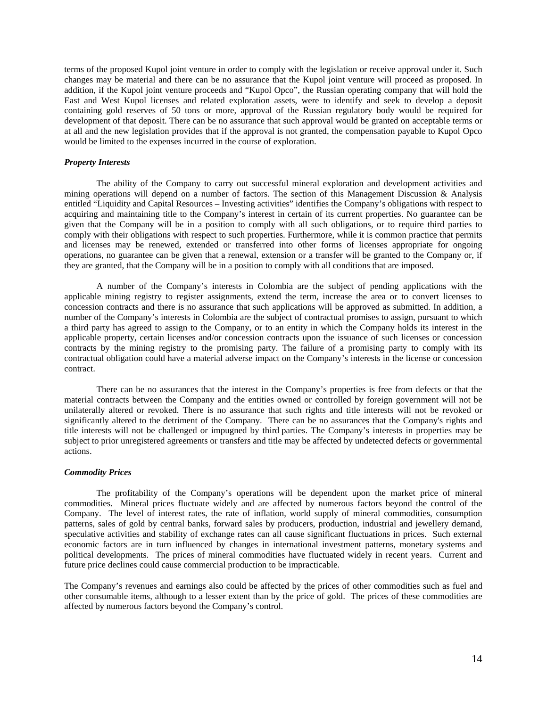terms of the proposed Kupol joint venture in order to comply with the legislation or receive approval under it. Such changes may be material and there can be no assurance that the Kupol joint venture will proceed as proposed. In addition, if the Kupol joint venture proceeds and "Kupol Opco", the Russian operating company that will hold the East and West Kupol licenses and related exploration assets, were to identify and seek to develop a deposit containing gold reserves of 50 tons or more, approval of the Russian regulatory body would be required for development of that deposit. There can be no assurance that such approval would be granted on acceptable terms or at all and the new legislation provides that if the approval is not granted, the compensation payable to Kupol Opco would be limited to the expenses incurred in the course of exploration.

#### *Property Interests*

The ability of the Company to carry out successful mineral exploration and development activities and mining operations will depend on a number of factors. The section of this Management Discussion & Analysis entitled "Liquidity and Capital Resources – Investing activities" identifies the Company's obligations with respect to acquiring and maintaining title to the Company's interest in certain of its current properties. No guarantee can be given that the Company will be in a position to comply with all such obligations, or to require third parties to comply with their obligations with respect to such properties. Furthermore, while it is common practice that permits and licenses may be renewed, extended or transferred into other forms of licenses appropriate for ongoing operations, no guarantee can be given that a renewal, extension or a transfer will be granted to the Company or, if they are granted, that the Company will be in a position to comply with all conditions that are imposed.

A number of the Company's interests in Colombia are the subject of pending applications with the applicable mining registry to register assignments, extend the term, increase the area or to convert licenses to concession contracts and there is no assurance that such applications will be approved as submitted. In addition, a number of the Company's interests in Colombia are the subject of contractual promises to assign, pursuant to which a third party has agreed to assign to the Company, or to an entity in which the Company holds its interest in the applicable property, certain licenses and/or concession contracts upon the issuance of such licenses or concession contracts by the mining registry to the promising party. The failure of a promising party to comply with its contractual obligation could have a material adverse impact on the Company's interests in the license or concession contract.

There can be no assurances that the interest in the Company's properties is free from defects or that the material contracts between the Company and the entities owned or controlled by foreign government will not be unilaterally altered or revoked. There is no assurance that such rights and title interests will not be revoked or significantly altered to the detriment of the Company. There can be no assurances that the Company's rights and title interests will not be challenged or impugned by third parties. The Company's interests in properties may be subject to prior unregistered agreements or transfers and title may be affected by undetected defects or governmental actions.

#### *Commodity Prices*

The profitability of the Company's operations will be dependent upon the market price of mineral commodities. Mineral prices fluctuate widely and are affected by numerous factors beyond the control of the Company. The level of interest rates, the rate of inflation, world supply of mineral commodities, consumption patterns, sales of gold by central banks, forward sales by producers, production, industrial and jewellery demand, speculative activities and stability of exchange rates can all cause significant fluctuations in prices. Such external economic factors are in turn influenced by changes in international investment patterns, monetary systems and political developments. The prices of mineral commodities have fluctuated widely in recent years. Current and future price declines could cause commercial production to be impracticable.

The Company's revenues and earnings also could be affected by the prices of other commodities such as fuel and other consumable items, although to a lesser extent than by the price of gold. The prices of these commodities are affected by numerous factors beyond the Company's control.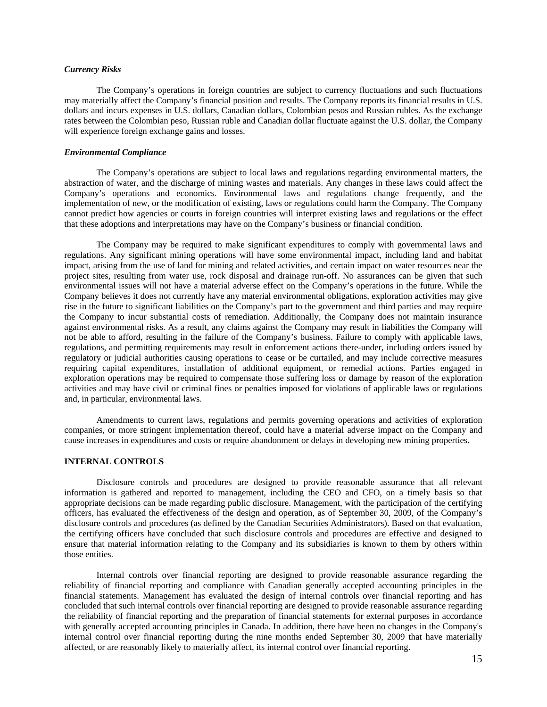### *Currency Risks*

The Company's operations in foreign countries are subject to currency fluctuations and such fluctuations may materially affect the Company's financial position and results. The Company reports its financial results in U.S. dollars and incurs expenses in U.S. dollars, Canadian dollars, Colombian pesos and Russian rubles. As the exchange rates between the Colombian peso, Russian ruble and Canadian dollar fluctuate against the U.S. dollar, the Company will experience foreign exchange gains and losses.

#### *Environmental Compliance*

The Company's operations are subject to local laws and regulations regarding environmental matters, the abstraction of water, and the discharge of mining wastes and materials. Any changes in these laws could affect the Company's operations and economics. Environmental laws and regulations change frequently, and the implementation of new, or the modification of existing, laws or regulations could harm the Company. The Company cannot predict how agencies or courts in foreign countries will interpret existing laws and regulations or the effect that these adoptions and interpretations may have on the Company's business or financial condition.

The Company may be required to make significant expenditures to comply with governmental laws and regulations. Any significant mining operations will have some environmental impact, including land and habitat impact, arising from the use of land for mining and related activities, and certain impact on water resources near the project sites, resulting from water use, rock disposal and drainage run-off. No assurances can be given that such environmental issues will not have a material adverse effect on the Company's operations in the future. While the Company believes it does not currently have any material environmental obligations, exploration activities may give rise in the future to significant liabilities on the Company's part to the government and third parties and may require the Company to incur substantial costs of remediation. Additionally, the Company does not maintain insurance against environmental risks. As a result, any claims against the Company may result in liabilities the Company will not be able to afford, resulting in the failure of the Company's business. Failure to comply with applicable laws, regulations, and permitting requirements may result in enforcement actions there-under, including orders issued by regulatory or judicial authorities causing operations to cease or be curtailed, and may include corrective measures requiring capital expenditures, installation of additional equipment, or remedial actions. Parties engaged in exploration operations may be required to compensate those suffering loss or damage by reason of the exploration activities and may have civil or criminal fines or penalties imposed for violations of applicable laws or regulations and, in particular, environmental laws.

Amendments to current laws, regulations and permits governing operations and activities of exploration companies, or more stringent implementation thereof, could have a material adverse impact on the Company and cause increases in expenditures and costs or require abandonment or delays in developing new mining properties.

### **INTERNAL CONTROLS**

Disclosure controls and procedures are designed to provide reasonable assurance that all relevant information is gathered and reported to management, including the CEO and CFO, on a timely basis so that appropriate decisions can be made regarding public disclosure. Management, with the participation of the certifying officers, has evaluated the effectiveness of the design and operation, as of September 30, 2009, of the Company's disclosure controls and procedures (as defined by the Canadian Securities Administrators). Based on that evaluation, the certifying officers have concluded that such disclosure controls and procedures are effective and designed to ensure that material information relating to the Company and its subsidiaries is known to them by others within those entities.

Internal controls over financial reporting are designed to provide reasonable assurance regarding the reliability of financial reporting and compliance with Canadian generally accepted accounting principles in the financial statements. Management has evaluated the design of internal controls over financial reporting and has concluded that such internal controls over financial reporting are designed to provide reasonable assurance regarding the reliability of financial reporting and the preparation of financial statements for external purposes in accordance with generally accepted accounting principles in Canada. In addition, there have been no changes in the Company's internal control over financial reporting during the nine months ended September 30, 2009 that have materially affected, or are reasonably likely to materially affect, its internal control over financial reporting.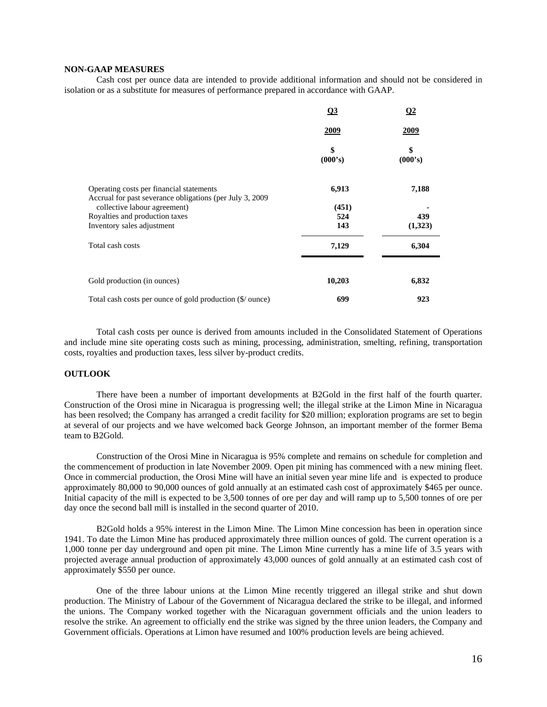### **NON-GAAP MEASURES**

Cash cost per ounce data are intended to provide additional information and should not be considered in isolation or as a substitute for measures of performance prepared in accordance with GAAP.

|                                                                                                       | Q <sub>3</sub> | $\Omega$<br><u>2009</u> |  |
|-------------------------------------------------------------------------------------------------------|----------------|-------------------------|--|
|                                                                                                       | 2009           |                         |  |
|                                                                                                       | \$<br>(000's)  | \$<br>(000's)           |  |
| Operating costs per financial statements<br>Accrual for past severance obligations (per July 3, 2009) | 6,913          | 7,188                   |  |
| collective labour agreement)                                                                          | (451)          |                         |  |
| Royalties and production taxes                                                                        | 524            | 439                     |  |
| Inventory sales adjustment                                                                            | 143            | (1,323)                 |  |
| Total cash costs                                                                                      | 7,129          | 6,304                   |  |
| Gold production (in ounces)                                                                           | 10,203         | 6,832                   |  |
| Total cash costs per ounce of gold production (\$/ ounce)                                             | 699            | 923                     |  |

Total cash costs per ounce is derived from amounts included in the Consolidated Statement of Operations and include mine site operating costs such as mining, processing, administration, smelting, refining, transportation costs, royalties and production taxes, less silver by-product credits.

### **OUTLOOK**

There have been a number of important developments at B2Gold in the first half of the fourth quarter. Construction of the Orosi mine in Nicaragua is progressing well; the illegal strike at the Limon Mine in Nicaragua has been resolved; the Company has arranged a credit facility for \$20 million; exploration programs are set to begin at several of our projects and we have welcomed back George Johnson, an important member of the former Bema team to B2Gold.

Construction of the Orosi Mine in Nicaragua is 95% complete and remains on schedule for completion and the commencement of production in late November 2009. Open pit mining has commenced with a new mining fleet. Once in commercial production, the Orosi Mine will have an initial seven year mine life and is expected to produce approximately 80,000 to 90,000 ounces of gold annually at an estimated cash cost of approximately \$465 per ounce. Initial capacity of the mill is expected to be 3,500 tonnes of ore per day and will ramp up to 5,500 tonnes of ore per day once the second ball mill is installed in the second quarter of 2010.

B2Gold holds a 95% interest in the Limon Mine. The Limon Mine concession has been in operation since 1941. To date the Limon Mine has produced approximately three million ounces of gold. The current operation is a 1,000 tonne per day underground and open pit mine. The Limon Mine currently has a mine life of 3.5 years with projected average annual production of approximately 43,000 ounces of gold annually at an estimated cash cost of approximately \$550 per ounce.

One of the three labour unions at the Limon Mine recently triggered an illegal strike and shut down production. The Ministry of Labour of the Government of Nicaragua declared the strike to be illegal, and informed the unions. The Company worked together with the Nicaraguan government officials and the union leaders to resolve the strike. An agreement to officially end the strike was signed by the three union leaders, the Company and Government officials. Operations at Limon have resumed and 100% production levels are being achieved.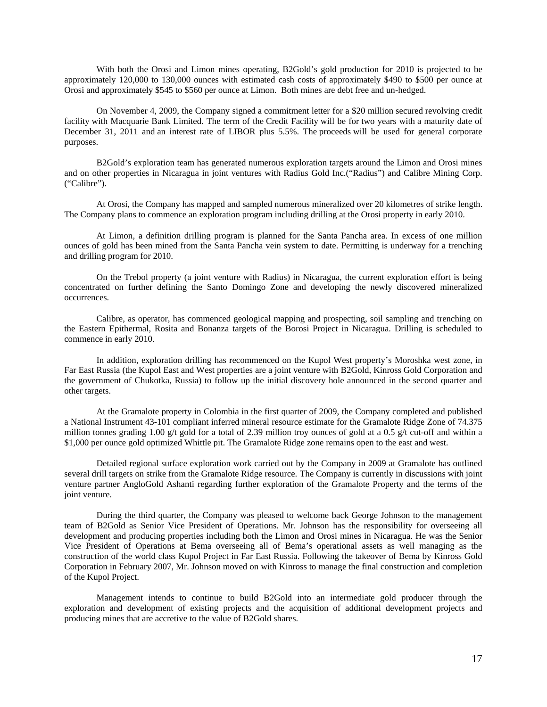With both the Orosi and Limon mines operating, B2Gold's gold production for 2010 is projected to be approximately 120,000 to 130,000 ounces with estimated cash costs of approximately \$490 to \$500 per ounce at Orosi and approximately \$545 to \$560 per ounce at Limon. Both mines are debt free and un-hedged.

On November 4, 2009, the Company signed a commitment letter for a \$20 million secured revolving credit facility with Macquarie Bank Limited. The term of the Credit Facility will be for two years with a maturity date of December 31, 2011 and an interest rate of LIBOR plus 5.5%. The proceeds will be used for general corporate purposes.

B2Gold's exploration team has generated numerous exploration targets around the Limon and Orosi mines and on other properties in Nicaragua in joint ventures with Radius Gold Inc.("Radius") and Calibre Mining Corp. ("Calibre").

At Orosi, the Company has mapped and sampled numerous mineralized over 20 kilometres of strike length. The Company plans to commence an exploration program including drilling at the Orosi property in early 2010.

At Limon, a definition drilling program is planned for the Santa Pancha area. In excess of one million ounces of gold has been mined from the Santa Pancha vein system to date. Permitting is underway for a trenching and drilling program for 2010.

On the Trebol property (a joint venture with Radius) in Nicaragua, the current exploration effort is being concentrated on further defining the Santo Domingo Zone and developing the newly discovered mineralized occurrences.

Calibre, as operator, has commenced geological mapping and prospecting, soil sampling and trenching on the Eastern Epithermal, Rosita and Bonanza targets of the Borosi Project in Nicaragua. Drilling is scheduled to commence in early 2010.

In addition, exploration drilling has recommenced on the Kupol West property's Moroshka west zone, in Far East Russia (the Kupol East and West properties are a joint venture with B2Gold, Kinross Gold Corporation and the government of Chukotka, Russia) to follow up the initial discovery hole announced in the second quarter and other targets.

At the Gramalote property in Colombia in the first quarter of 2009, the Company completed and published a National Instrument 43-101 compliant inferred mineral resource estimate for the Gramalote Ridge Zone of 74.375 million tonnes grading 1.00 g/t gold for a total of 2.39 million troy ounces of gold at a 0.5 g/t cut-off and within a \$1,000 per ounce gold optimized Whittle pit. The Gramalote Ridge zone remains open to the east and west.

Detailed regional surface exploration work carried out by the Company in 2009 at Gramalote has outlined several drill targets on strike from the Gramalote Ridge resource. The Company is currently in discussions with joint venture partner AngloGold Ashanti regarding further exploration of the Gramalote Property and the terms of the joint venture.

During the third quarter, the Company was pleased to welcome back George Johnson to the management team of B2Gold as Senior Vice President of Operations. Mr. Johnson has the responsibility for overseeing all development and producing properties including both the Limon and Orosi mines in Nicaragua. He was the Senior Vice President of Operations at Bema overseeing all of Bema's operational assets as well managing as the construction of the world class Kupol Project in Far East Russia. Following the takeover of Bema by Kinross Gold Corporation in February 2007, Mr. Johnson moved on with Kinross to manage the final construction and completion of the Kupol Project.

Management intends to continue to build B2Gold into an intermediate gold producer through the exploration and development of existing projects and the acquisition of additional development projects and producing mines that are accretive to the value of B2Gold shares.